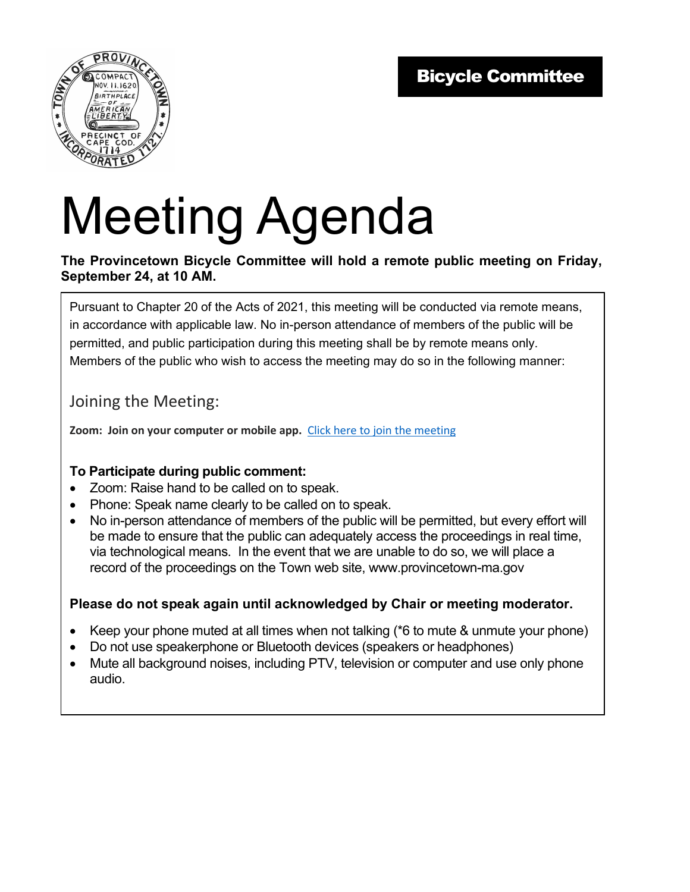

# Meeting Agenda

#### **The Provincetown Bicycle Committee will hold a remote public meeting on Friday, September 24, at 10 AM.**

Pursuant to Chapter 20 of the Acts of 2021, this meeting will be conducted via remote means, in accordance with applicable law. No in-person attendance of members of the public will be permitted, and public participation during this meeting shall be by remote means only. Members of the public who wish to access the meeting may do so in the following manner:

### Joining the Meeting:

**Zoom: Join on your computer or mobile app.** Click here to join the meeting

#### **To Participate during public comment:**

- Zoom: Raise hand to be called on to speak.
- Phone: Speak name clearly to be called on to speak.
- No in-person attendance of members of the public will be permitted, but every effort will be made to ensure that the public can adequately access the proceedings in real time, via technological means. In the event that we are unable to do so, we will place a record of the proceedings on the Town web site, www.provincetown-ma.gov

#### **Please do not speak again until acknowledged by Chair or meeting moderator.**

- Keep your phone muted at all times when not talking (\*6 to mute & unmute your phone)
- Do not use speakerphone or Bluetooth devices (speakers or headphones)
- Mute all background noises, including PTV, television or computer and use only phone audio.